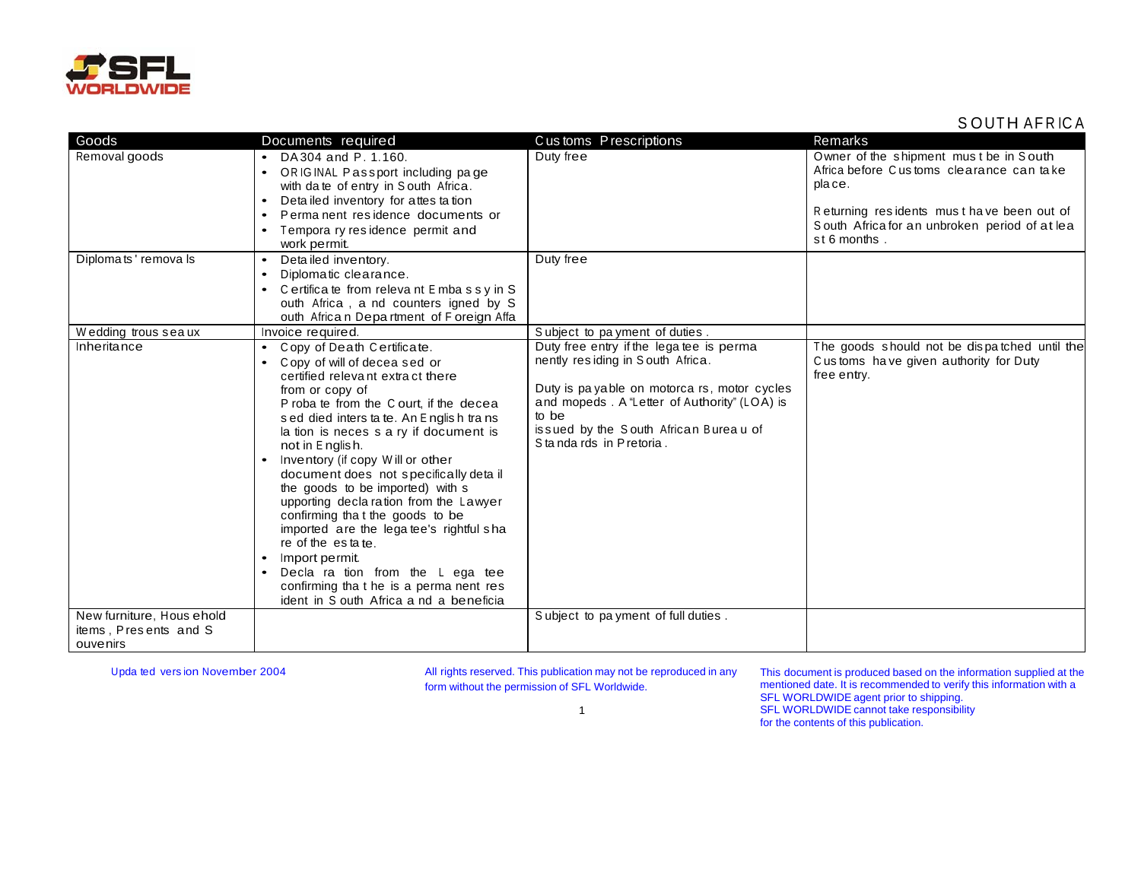

## SOUTH AFRICA

| Goods                                                          | Documents required                                                                                                                                                                                                                                                                                                                                                                                                                                                                                                                                                                                                                                                                                      | Customs Prescriptions                                                                                                                                                                                                                                   | Remarks                                                                                                                                                                                                    |
|----------------------------------------------------------------|---------------------------------------------------------------------------------------------------------------------------------------------------------------------------------------------------------------------------------------------------------------------------------------------------------------------------------------------------------------------------------------------------------------------------------------------------------------------------------------------------------------------------------------------------------------------------------------------------------------------------------------------------------------------------------------------------------|---------------------------------------------------------------------------------------------------------------------------------------------------------------------------------------------------------------------------------------------------------|------------------------------------------------------------------------------------------------------------------------------------------------------------------------------------------------------------|
| Removal goods                                                  | • DA 304 and P. 1.160.<br>• ORIGINAL Passport including page<br>with date of entry in South Africa.<br>Detailed inventory for attes ta tion<br>Perma nent residence documents or<br>$\bullet$<br>Tempora ry residence permit and<br>work permit.                                                                                                                                                                                                                                                                                                                                                                                                                                                        | Duty free                                                                                                                                                                                                                                               | Owner of the shipment must be in South<br>Africa before Customs clearance can take<br>place.<br>Returning residents must have been out of<br>South Africa for an unbroken period of at lea<br>st 6 months. |
| Diplomats' remova ls                                           | Detailed inventory.<br>$\bullet$<br>Diplomatic clearance.<br>$\bullet$<br>Certifica te from releva nt Embassy in S<br>outh Africa, a nd counters igned by S<br>outh Africa n Department of Foreign Affa                                                                                                                                                                                                                                                                                                                                                                                                                                                                                                 | Duty free                                                                                                                                                                                                                                               |                                                                                                                                                                                                            |
| Wedding trous sea ux                                           | Invoice required.                                                                                                                                                                                                                                                                                                                                                                                                                                                                                                                                                                                                                                                                                       | Subject to payment of duties.                                                                                                                                                                                                                           |                                                                                                                                                                                                            |
| Inheritance                                                    | Copy of Death Certificate.<br>$\bullet$<br>Copy of will of decea sed or<br>certified relevant extract there<br>from or copy of<br>P roba te from the C ourt, if the decea<br>sed died inters ta te. An English trans<br>la tion is neces s a ry if document is<br>not in E nglish.<br>Inventory (if copy Will or other<br>document does not specifically detail<br>the goods to be imported) with s<br>upporting declaration from the Lawyer<br>confirming that the goods to be<br>imported are the legatee's rightful sha<br>re of the estate.<br>Import permit.<br>$\bullet$<br>Decla ra tion from the L ega tee<br>confirming that he is a perma nent res<br>ident in S outh Africa a nd a beneficia | Duty free entry if the lega tee is perma<br>nently residing in South Africa.<br>Duty is payable on motorca rs, motor cycles<br>and mopeds. A "Letter of Authority" (LOA) is<br>to be<br>issued by the South African Bureau of<br>Standards in Pretoria. | The goods should not be dispatched until the<br>Customs have given authority for Duty<br>free entry.                                                                                                       |
| New furniture, Hous ehold<br>items, Presents and S<br>ouvenirs |                                                                                                                                                                                                                                                                                                                                                                                                                                                                                                                                                                                                                                                                                                         | Subject to pa yment of full duties.                                                                                                                                                                                                                     |                                                                                                                                                                                                            |

Upda ted version November 2004

All rights reserved. This publication may not be reproduced in any form without the permission of SFL Worldwide.

This document is produced based on the information supplied at the mentioned date. It is recommended to verify this information with a SFL WORLDWIDE agent prior to shipping.<br>SFL WORLDWIDE cannot take responsibility for the contents of this publication.

 $\mathbf{1}$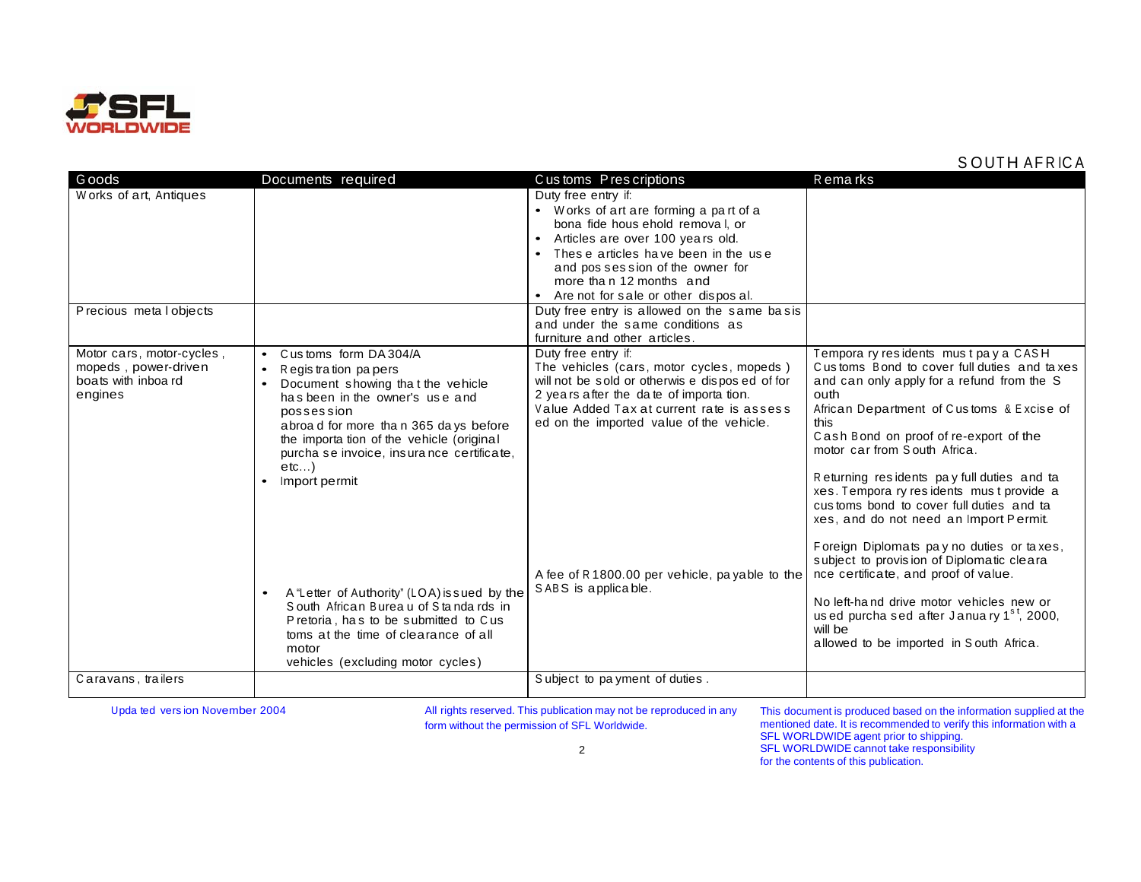

## S OUTH AFRICA

| G oods                                                                             | Documents required                                                                                                                                                                                                                                                                                                                                                                                                                                                                                                                                                     | Customs Prescriptions                                                                                                                                                                                                                                                                                                          | Remarks                                                                                                                                                                                                                                                                                                                                                                                                                                                                                                                                                                                                                                                                                                                                     |
|------------------------------------------------------------------------------------|------------------------------------------------------------------------------------------------------------------------------------------------------------------------------------------------------------------------------------------------------------------------------------------------------------------------------------------------------------------------------------------------------------------------------------------------------------------------------------------------------------------------------------------------------------------------|--------------------------------------------------------------------------------------------------------------------------------------------------------------------------------------------------------------------------------------------------------------------------------------------------------------------------------|---------------------------------------------------------------------------------------------------------------------------------------------------------------------------------------------------------------------------------------------------------------------------------------------------------------------------------------------------------------------------------------------------------------------------------------------------------------------------------------------------------------------------------------------------------------------------------------------------------------------------------------------------------------------------------------------------------------------------------------------|
| Works of art, Antiques                                                             |                                                                                                                                                                                                                                                                                                                                                                                                                                                                                                                                                                        | Duty free entry if:<br>• Works of art are forming a part of a<br>bona fide hous ehold removal, or<br>Articles are over 100 years old.<br>• These articles have been in the use<br>and pos session of the owner for<br>more than 12 months and<br>• Are not for sale or other disposal.                                         |                                                                                                                                                                                                                                                                                                                                                                                                                                                                                                                                                                                                                                                                                                                                             |
| Precious metal objects                                                             |                                                                                                                                                                                                                                                                                                                                                                                                                                                                                                                                                                        | Duty free entry is allowed on the same basis<br>and under the same conditions as<br>furniture and other articles.                                                                                                                                                                                                              |                                                                                                                                                                                                                                                                                                                                                                                                                                                                                                                                                                                                                                                                                                                                             |
| Motor cars, motor-cycles,<br>mopeds, power-driven<br>boats with inboard<br>engines | Customs form DA 304/A<br>$\bullet$<br>$\bullet$<br>Regis tration papers<br>Document showing that the vehicle<br>$\bullet$<br>has been in the owner's use and<br>possession<br>abroad for more than 365 days before<br>the importa tion of the vehicle (original<br>purcha se invoice, insurance certificate,<br>etc<br>Import permit<br>$\bullet$<br>A "Letter of Authority" (LOA) issued by the<br>South African Bureau of Standards in<br>Pretoria, has to be submitted to Cus<br>toms at the time of clearance of all<br>motor<br>vehicles (excluding motor cycles) | Duty free entry if:<br>The vehicles (cars, motor cycles, mopeds)<br>will not be sold or otherwis e disposed of for<br>2 years after the date of importation.<br>Value Added Tax at current rate is assess<br>ed on the imported value of the vehicle.<br>A fee of R 1800.00 per vehicle, payable to the<br>SABS is applicable. | Tempora ry residents must pay a CASH<br>Customs Bond to cover full duties and taxes<br>and can only apply for a refund from the S<br>outh<br>African Department of Customs & Excise of<br>this<br>Cash Bond on proof of re-export of the<br>motor car from South Africa.<br>Returning residents pay full duties and ta<br>xes. Tempora ry residents must provide a<br>customs bond to cover full duties and ta<br>xes, and do not need an Import Permit.<br>Foreign Diplomats pay no duties or taxes,<br>subject to provision of Diplomatic cleara<br>nce certificate, and proof of value.<br>No left-hand drive motor vehicles new or<br>used purcha sed after January $1st$ , 2000,<br>will be<br>allowed to be imported in South Africa. |
| Caravans, trailers                                                                 |                                                                                                                                                                                                                                                                                                                                                                                                                                                                                                                                                                        | Subject to payment of duties.                                                                                                                                                                                                                                                                                                  |                                                                                                                                                                                                                                                                                                                                                                                                                                                                                                                                                                                                                                                                                                                                             |
|                                                                                    |                                                                                                                                                                                                                                                                                                                                                                                                                                                                                                                                                                        |                                                                                                                                                                                                                                                                                                                                |                                                                                                                                                                                                                                                                                                                                                                                                                                                                                                                                                                                                                                                                                                                                             |

Upda ted vers ion November 2004 **All rights reserved. This publication may not be reproduced in any** form without the permission of SFL Worldwide.

This document is produced based on the information supplied at the mentioned date. It is recommended to verify this information with a SFL WORLDWIDE agent prior to shipping. SFL WORLDWIDE cannot take responsibility for the contents of this publication.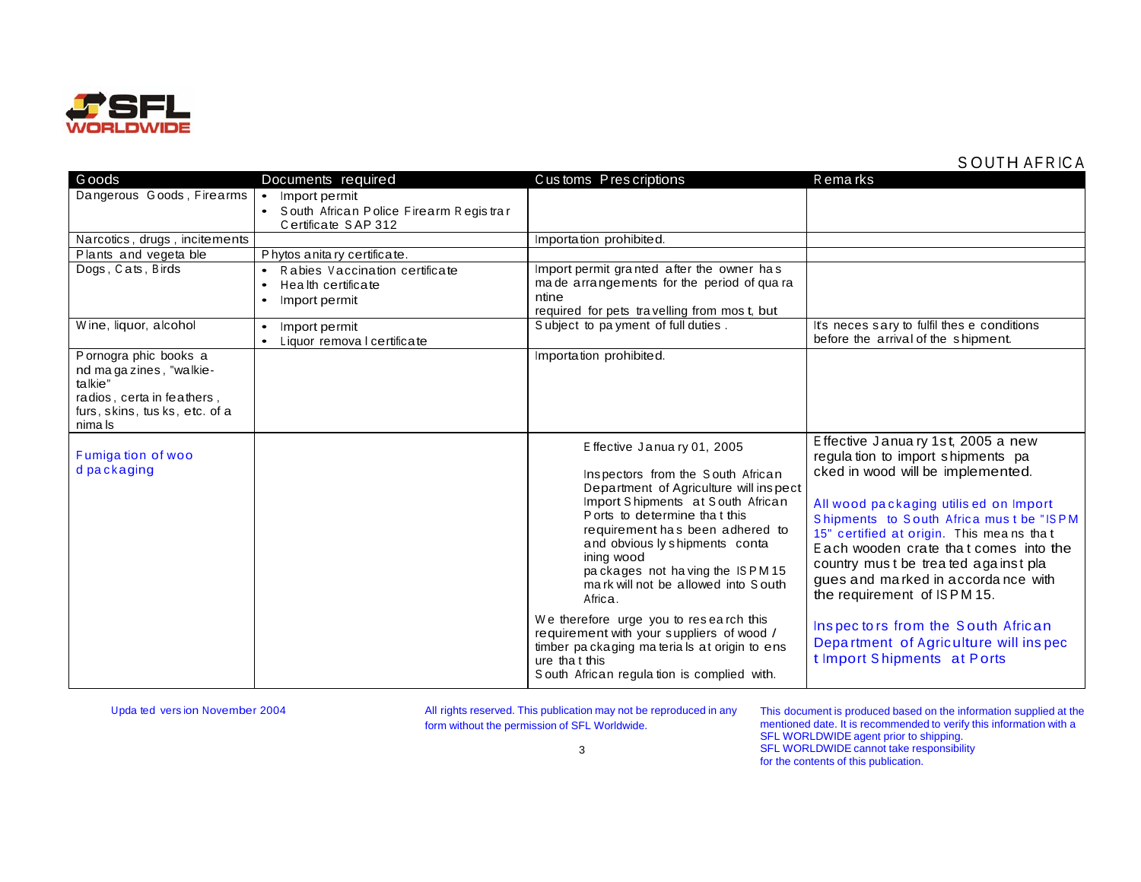

## **SOUTH AFRICA**

| G oods                                                                                                                               | Documents required                                                                                           | Customs Prescriptions                                                                                                                                                                                                                                                                                                                                                                                                                                                                                                                                      | R ema rks                                                                                                                                                                                                                                                                                                                                                                                                                                                                                                      |
|--------------------------------------------------------------------------------------------------------------------------------------|--------------------------------------------------------------------------------------------------------------|------------------------------------------------------------------------------------------------------------------------------------------------------------------------------------------------------------------------------------------------------------------------------------------------------------------------------------------------------------------------------------------------------------------------------------------------------------------------------------------------------------------------------------------------------------|----------------------------------------------------------------------------------------------------------------------------------------------------------------------------------------------------------------------------------------------------------------------------------------------------------------------------------------------------------------------------------------------------------------------------------------------------------------------------------------------------------------|
| Dangerous Goods, Firearms                                                                                                            | • Import permit                                                                                              |                                                                                                                                                                                                                                                                                                                                                                                                                                                                                                                                                            |                                                                                                                                                                                                                                                                                                                                                                                                                                                                                                                |
|                                                                                                                                      | • South African Police Firearm Registrar<br>Certificate SAP 312                                              |                                                                                                                                                                                                                                                                                                                                                                                                                                                                                                                                                            |                                                                                                                                                                                                                                                                                                                                                                                                                                                                                                                |
| Narcotics, drugs, incitements                                                                                                        |                                                                                                              | Importation prohibited.                                                                                                                                                                                                                                                                                                                                                                                                                                                                                                                                    |                                                                                                                                                                                                                                                                                                                                                                                                                                                                                                                |
| Plants and vegeta ble                                                                                                                | Phytos anitary certificate.                                                                                  |                                                                                                                                                                                                                                                                                                                                                                                                                                                                                                                                                            |                                                                                                                                                                                                                                                                                                                                                                                                                                                                                                                |
| Dogs, Cats, Birds                                                                                                                    | Rabies Vaccination certificate<br>$\bullet$<br>Health certificate<br>$\bullet$<br>Import permit<br>$\bullet$ | Import permit granted after the owner has<br>ma de arrangements for the period of qua ra<br>ntine<br>required for pets travelling from mos t, but                                                                                                                                                                                                                                                                                                                                                                                                          |                                                                                                                                                                                                                                                                                                                                                                                                                                                                                                                |
| Wine, liquor, alcohol                                                                                                                | Import permit<br>$\bullet$<br>Liquor remova I certificate<br>$\bullet$                                       | Subject to payment of full duties.                                                                                                                                                                                                                                                                                                                                                                                                                                                                                                                         | It's neces sary to fulfil thes e conditions<br>before the arrival of the shipment.                                                                                                                                                                                                                                                                                                                                                                                                                             |
| Pornogra phic books a<br>nd magazines, "walkie-<br>talkie"<br>radios, certa in feathers,<br>furs, skins, tusks, etc. of a<br>nima Is |                                                                                                              | Importation prohibited.                                                                                                                                                                                                                                                                                                                                                                                                                                                                                                                                    |                                                                                                                                                                                                                                                                                                                                                                                                                                                                                                                |
| Fumigation of woo<br>d packaging                                                                                                     |                                                                                                              | Effective January 01, 2005<br>Inspectors from the South African<br>Department of Agriculture will inspect<br>Import Shipments at South African<br>Ports to determine that this<br>requirement has been adhered to<br>and obvious ly shipments conta<br>ining wood<br>packages not having the ISPM15<br>mark will not be allowed into South<br>Africa.<br>We therefore urge you to research this<br>requirement with your suppliers of wood /<br>timber packaging materials at origin to ens<br>ure that this<br>South African regulation is complied with. | Effective January 1st, 2005 a new<br>regulation to import shipments pa<br>cked in wood will be implemented.<br>All wood packaging utilis ed on Import<br>Shipments to South Africa must be "ISPM<br>15" certified at origin. This means that<br>Each wooden crate that comes into the<br>country must be treated against pla<br>gues and marked in accordance with<br>the requirement of ISPM 15.<br>Inspectors from the South African<br>Department of Agriculture will inspec<br>t Import Shipments at Ports |

Upda ted version November 2004

All rights reserved. This publication may not be reproduced in any form without the permission of SFL Worldwide.

This document is produced based on the information supplied at the mentioned date. It is recommended to verify this information with a<br>SFL WORLDWIDE agent prior to shipping.<br>SFL WORLDWIDE cannot take responsibility for the contents of this publication.